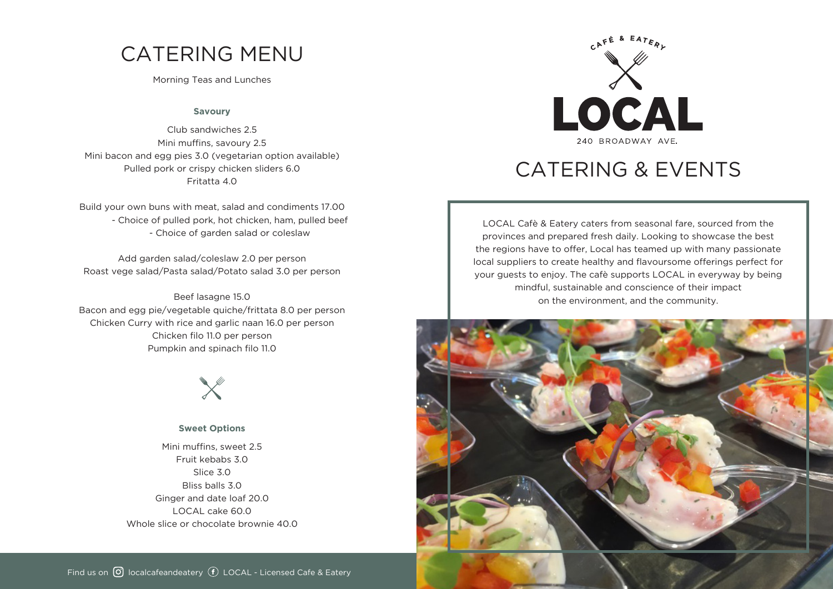# CATERING MENU

Morning Teas and Lunches

#### **Savoury**

Club sandwiches 2.5 Mini muffins, savoury 2.5 Mini bacon and egg pies 3.0 (vegetarian option available) Pulled pork or crispy chicken sliders 6.0 Fritatta 4.0

Build your own buns with meat, salad and condiments 17.00 - Choice of pulled pork, hot chicken, ham, pulled beef - Choice of garden salad or coleslaw

Add garden salad/coleslaw 2.0 per person Roast vege salad/Pasta salad/Potato salad 3.0 per person

Beef lasagne 15.0 Bacon and egg pie/vegetable quiche/frittata 8.0 per person Chicken Curry with rice and garlic naan 16.0 per person Chicken filo 11.0 per person Pumpkin and spinach filo 11.0



#### **Sweet Options**

Mini muffins, sweet 2.5 Fruit kebabs 3.0 Slice 3.0 Bliss balls 3.0 Ginger and date loaf 20.0 LOCAL cake 60.0 Whole slice or chocolate brownie 40.0



# CATERING & EVENTS

LOCAL Cafè & Eatery caters from seasonal fare, sourced from the provinces and prepared fresh daily. Looking to showcase the best the regions have to offer, Local has teamed up with many passionate local suppliers to create healthy and flavoursome offerings perfect for your guests to enjoy. The cafè supports LOCAL in everyway by being mindful, sustainable and conscience of their impact on the environment, and the community.